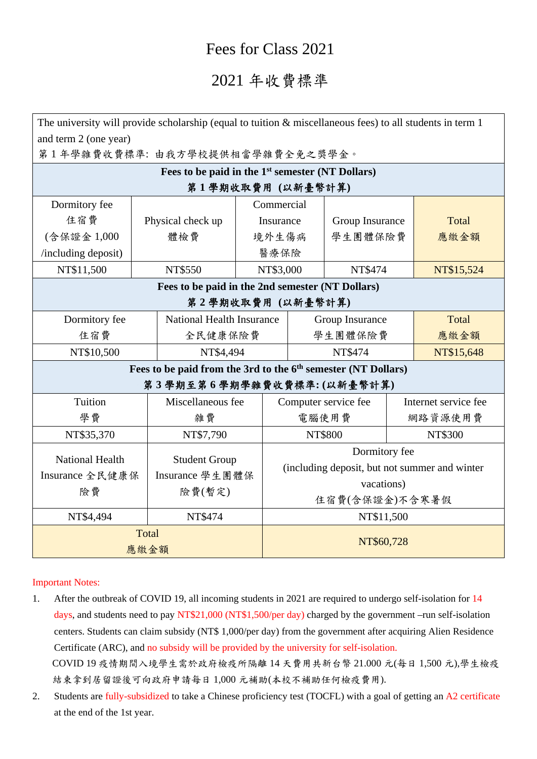## Fees for Class 2021

## 2021 年收費標準

| The university will provide scholarship (equal to tuition $\&$ miscellaneous fees) to all students in term 1 |  |
|--------------------------------------------------------------------------------------------------------------|--|
| and term 2 (one year)                                                                                        |  |

第 1 年學雜費收費標準: 由我方學校提供相當學雜費全免之獎學金。

| Fees to be paid in the $1st$ semester (NT Dollars)<br>第1學期收取費用(以新臺幣計算)                                 |                                                   |               |                                                                                                |                 |                      |            |  |  |
|--------------------------------------------------------------------------------------------------------|---------------------------------------------------|---------------|------------------------------------------------------------------------------------------------|-----------------|----------------------|------------|--|--|
| Dormitory fee<br>住宿費                                                                                   | Physical check up                                 |               | Commercial<br>Insurance                                                                        |                 | Group Insurance      | Total      |  |  |
| (含保證金 1,000<br>/including deposit)                                                                     | 體檢費                                               | 境外生傷病<br>醫療保險 |                                                                                                | 學生團體保險費         |                      | 應繳金額       |  |  |
| NT\$11,500                                                                                             | NT\$550                                           |               | NT\$3,000<br>NT\$474                                                                           |                 |                      | NT\$15,524 |  |  |
| Fees to be paid in the 2nd semester (NT Dollars)                                                       |                                                   |               |                                                                                                |                 |                      |            |  |  |
| 第2學期收取費用(以新臺幣計算)                                                                                       |                                                   |               |                                                                                                |                 |                      |            |  |  |
| Dormitory fee                                                                                          | <b>National Health Insurance</b>                  |               |                                                                                                | Group Insurance |                      | Total      |  |  |
| 住宿費                                                                                                    | 全民健康保險費                                           |               |                                                                                                | 學生團體保險費         |                      | 應繳金額       |  |  |
| NT\$10,500                                                                                             | NT\$4,494                                         |               | NT\$474                                                                                        |                 | NT\$15,648           |            |  |  |
| Fees to be paid from the 3rd to the 6 <sup>th</sup> semester (NT Dollars)<br>第3學期至第6學期學雜費收費標準:(以新臺幣計算) |                                                   |               |                                                                                                |                 |                      |            |  |  |
| Tuition                                                                                                | Miscellaneous fee                                 |               | Computer service fee                                                                           |                 | Internet service fee |            |  |  |
| 學費                                                                                                     | 雜費                                                |               | 電腦使用費                                                                                          |                 |                      | 網路資源使用費    |  |  |
| NT\$35,370                                                                                             | NT\$7,790                                         |               | NT\$800                                                                                        |                 | NT\$300              |            |  |  |
| <b>National Health</b><br>Insurance 全民健康保<br>險費                                                        | <b>Student Group</b><br>Insurance 學生團體保<br>險費(暫定) |               | Dormitory fee<br>(including deposit, but not summer and winter<br>vacations)<br>住宿費(含保證金)不含寒暑假 |                 |                      |            |  |  |
| NT\$4,494                                                                                              | NT\$474                                           |               | NT\$11,500                                                                                     |                 |                      |            |  |  |
| Total<br>應繳金額                                                                                          |                                                   |               | NT\$60,728                                                                                     |                 |                      |            |  |  |

## Important Notes:

- 1. After the outbreak of COVID 19, all incoming students in 2021 are required to undergo self-isolation for 14 days, and students need to pay NT\$21,000 (NT\$1,500/per day) charged by the government –run self-isolation centers. Students can claim subsidy (NT\$ 1,000/per day) from the government after acquiring Alien Residence Certificate (ARC), and no subsidy will be provided by the university for self-isolation. COVID 19 疫情期間入境學生需於政府檢疫所隔離 14 天費用共新台幣 21.000 元(每日 1,500 元),學生檢疫 結束拿到居留證後可向政府申請每日 1,000 元補助(本校不補助任何檢疫費用).
- 2. Students are fully-subsidized to take a Chinese proficiency test (TOCFL) with a goal of getting an A2 certificate at the end of the 1st year.